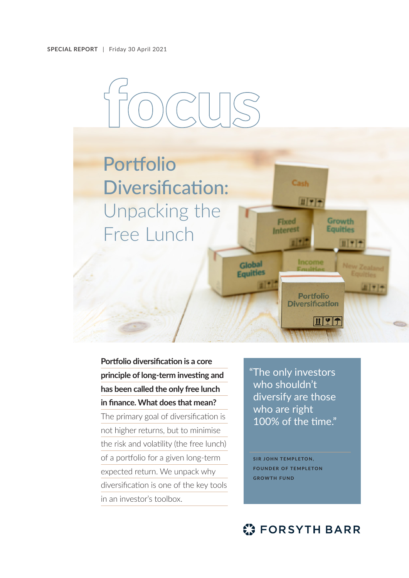

# Portfolio Diversification: Unpacking the Free Lunch

**Portfolio diversification is a core principle of long-term investing and has been called the only free lunch in finance. What does that mean?**

The primary goal of diversification is not higher returns, but to minimise the risk and volatility (the free lunch) of a portfolio for a given long-term expected return. We unpack why diversification is one of the key tools in an investor's toolbox.

"The only investors who shouldn't diversify are those who are right 100% of the time."

Cash

Fixed

**Interest** 

Global **Equities**   $II777$ 

Income

**Portfolio Diversification** 

 $\mathbf{H}$   $\mathbf{H}$ 

**Growth** 

**Equities** 

**SIR JOHN TEMPLETON, FOUNDER OF TEMPLETON GROWTH FUND**

# **C: FORSYTH BARR**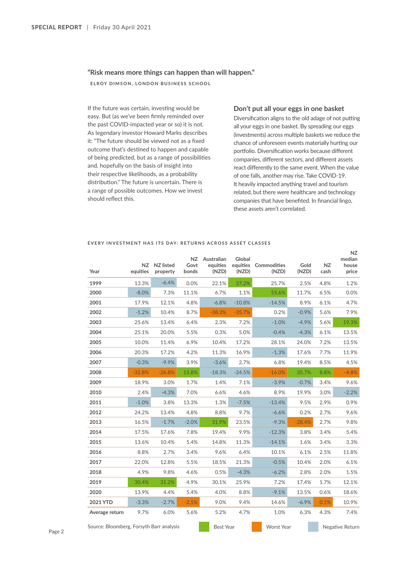## **"Risk means more things can happen than will happen."**

**ELROY DIMSON, LONDON BUSINESS SCHOOL**

If the future was certain, investing would be easy. But (as we've been firmly reminded over the past COVID-impacted year or so) it is not. As legendary investor Howard Marks describes it: "The future should be viewed not as a fixed outcome that's destined to happen and capable of being predicted, but as a range of possibilities and, hopefully on the basis of insight into their respective likelihoods, as a probability distribution." The future is uncertain. There is a range of possible outcomes. How we invest should reflect this.

# **Don't put all your eggs in one basket**

Diversification aligns to the old adage of not putting all your eggs in one basket. By spreading our eggs (investments) across multiple baskets we reduce the chance of unforeseen events materially hurting our portfolio. Diversification works because different companies, different sectors, and different assets react differently to the same event. When the value of one falls, another may rise. Take COVID-19. It heavily impacted anything travel and tourism related, but there were healthcare and technology companies that have benefited. In financial lingo, these assets aren't correlated.

#### **EVERY INVESTMENT HAS ITS DAY: RETURNS ACROSS ASSET CLASSES**

| Year                                     | NZ<br>equities | NZ listed<br>property | NZ.<br>Govt<br>bonds | Australian<br>equities<br>(NZD) | Global<br>equities<br>(NZD) | Commodities<br>(NZD) | Gold<br>(NZD)     | <b>NZ</b><br>cash | NZ.<br>median<br>house<br>price |  |
|------------------------------------------|----------------|-----------------------|----------------------|---------------------------------|-----------------------------|----------------------|-------------------|-------------------|---------------------------------|--|
| 1999                                     | 13.3%          | $-6.4%$               | 0.0%                 | 22.1%                           | 27.2%                       | 25.7%                | 2.5%              | 4.8%              | 1.2%                            |  |
| 2000                                     | $-8.0%$        | 7.3%                  | 11.1%                | 6.7%                            | 1.1%                        | 55.6%                | 11.7%             | 6.5%              | $0.0\%$                         |  |
| 2001                                     | 17.9%          | 12.1%                 | 4.8%                 | $-6.8%$                         | $-10.8%$                    | $-14.5%$             | 8.9%              | 6.1%              | 4.7%                            |  |
| 2002                                     | $-1.2%$        | 10.4%                 | 8.7%                 | $-38.3%$                        | $-35.7%$                    | 0.2%                 | $-0.9%$           | 5.6%              | 7.9%                            |  |
| 2003                                     | 25.6%          | 13.4%                 | 6.4%                 | 2.3%                            | 7.2%                        | $-1.0%$              | $-4.9%$           | 5.6%              | 19.3%                           |  |
| 2004                                     | 25.1%          | 20.0%                 | 5.5%                 | 0.3%                            | 5.0%                        | $-0.4%$              | $-4.3%$           | 6.1%              | 13.5%                           |  |
| 2005                                     | 10.0%          | 11.4%                 | 6.9%                 | 10.4%                           | 17.2%                       | 28.1%                | 24.0%             | 7.2%              | 13.5%                           |  |
| 2006                                     | 20.3%          | 17.2%                 | 4.2%                 | 11.3%                           | 16.9%                       | $-1.3%$              | 17.6%             | 7.7%              | 11.9%                           |  |
| 2007                                     | $-0.3%$        | $-9.9%$               | 3.9%                 | $-3.6%$                         | 2.7%                        | 6.8%                 | 19.4%             | 8.5%              | 4.5%                            |  |
| 2008                                     | $-32.8%$       | $-26.8%$              | 15.8%                | $-18.3%$                        | $-24.5%$                    | $-16.0%$             | 35.7%             | 8.8%              | $-4.8%$                         |  |
| 2009                                     | 18.9%          | 3.0%                  | 1.7%                 | 1.4%                            | 7.1%                        | $-3.9%$              | $-0.7%$           | 3.4%              | 9.6%                            |  |
| 2010                                     | 2.4%           | $-4.3%$               | 7.0%                 | 6.6%                            | 4.6%                        | 8.9%                 | 19.9%             | 3.0%              | $-2.2%$                         |  |
| 2011                                     | $-1.0%$        | 3.8%                  | 13.3%                | 1.3%                            | $-7.5%$                     | $-13.4%$             | 9.5%              | 2.9%              | 0.9%                            |  |
| 2012                                     | 24.2%          | 13.4%                 | 4.8%                 | 8.8%                            | 9.7%                        | $-6.6%$              | 0.2%              | 2.7%              | 9.6%                            |  |
| 2013                                     | 16.5%          | $-1.7%$               | $-2.0%$              | 31.9%                           | 23.5%                       | $-9.3%$              | $-28.4%$          | 2.7%              | 9.8%                            |  |
| 2014                                     | 17.5%          | 17.6%                 | 7.8%                 | 19.4%                           | 9.9%                        | $-12.3%$             | 3.8%              | 3.4%              | 5.4%                            |  |
| 2015                                     | 13.6%          | 10.4%                 | 5.4%                 | 14.8%                           | 11.3%                       | $-14.1%$             | 1.6%              | 3.4%              | 3.3%                            |  |
| 2016                                     | 8.8%           | 2.7%                  | 3.4%                 | 9.6%                            | 6.4%                        | 10.1%                | 6.1%              | 2.5%              | 11.8%                           |  |
| 2017                                     | 22.0%          | 12.8%                 | 5.5%                 | 18.5%                           | 21.3%                       | $-0.5%$              | 10.4%             | 2.0%              | 6.1%                            |  |
| 2018                                     | 4.9%           | 9.8%                  | 4.6%                 | 0.5%                            | $-4.3%$                     | $-6.2%$              | 2.8%              | 2.0%              | 1.5%                            |  |
| 2019                                     | 30.4%          | 31.2%                 | 4.9%                 | 30.1%                           | 25.9%                       | 7.2%                 | 17.4%             | 1.7%              | 12.1%                           |  |
| 2020                                     | 13.9%          | 4.4%                  | 5.4%                 | 4.0%                            | 8.8%                        | $-9.1%$              | 13.5%             | 0.6%              | 18.6%                           |  |
| 2021 YTD                                 | $-3.3%$        | $-2.7%$               | $-2.5%$              | 9.0%                            | 9.4%                        | 14.6%                | $-6.9\%$          | 0.1%              | 10.9%                           |  |
| Average return                           | 9.7%           | 6.0%                  | 5.6%                 | 5.2%                            | 4.7%                        | 1.0%                 | 6.3%              | 4.3%              | 7.4%                            |  |
| Source: Bloomberg, Forsyth Barr analysis |                |                       |                      | <b>Best Year</b>                |                             |                      | <b>Worst Year</b> |                   | Negative Return                 |  |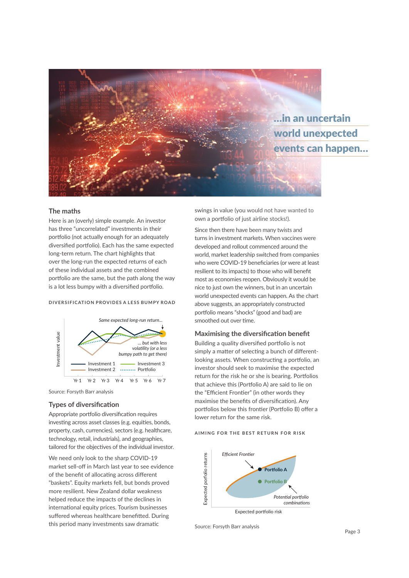

# **The maths**

Here is an (overly) simple example. An investor has three "uncorrelated" investments in their portfolio (not actually enough for an adequately diversified portfolio). Each has the same expected long-term return. The chart highlights that over the long-run the expected returns of each of these individual assets and the combined portfolio are the same, but the path along the way is a lot less bumpy with a diversified portfolio.

#### **DIVERSIFICATION PROVIDES A LESS BUMPY ROAD**



Source: Forsyth Barr analysis

# **Types of diversification**

Appropriate portfolio diversification requires investing across asset classes (e.g. equities, bonds, property, cash, currencies), sectors (e.g. healthcare, technology, retail, industrials), and geographies, tailored for the objectives of the individual investor.

We need only look to the sharp COVID-19 market sell-off in March last year to see evidence of the benefit of allocating across different "baskets". Equity markets fell, but bonds proved more resilient. New Zealand dollar weakness helped reduce the impacts of the declines in international equity prices. Tourism businesses suffered whereas healthcare benefitted. During this period many investments saw dramatic

swings in value (you would not have wanted to own a portfolio of just airline stocks!).

Since then there have been many twists and turns in investment markets. When vaccines were developed and rollout commenced around the world, market leadership switched from companies who were COVID-19 beneficiaries (or were at least resilient to its impacts) to those who will benefit most as economies reopen. Obviously it would be nice to just own the winners, but in an uncertain world unexpected events can happen. As the chart above suggests, an appropriately constructed portfolio means "shocks" (good and bad) are smoothed out over time.

# **Maximising the diversification benefit**

Building a quality diversified portfolio is not simply a matter of selecting a bunch of differentlooking assets. When constructing a portfolio, an investor should seek to maximise the expected return for the risk he or she is bearing. Portfolios that achieve this (Portfolio A) are said to lie on the "Efficient Frontier" (in other words they maximise the benefits of diversification). Any portfolios below this frontier (Portfolio B) offer a lower return for the same risk.

# **AIMING FOR THE BEST RETURN FOR RISK**



Source: Forsyth Barr analysis